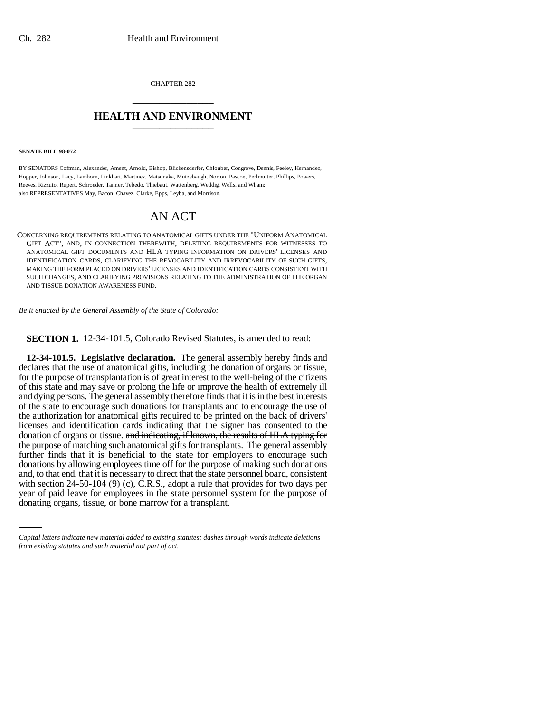CHAPTER 282 \_\_\_\_\_\_\_\_\_\_\_\_\_\_\_

## **HEALTH AND ENVIRONMENT** \_\_\_\_\_\_\_\_\_\_\_\_\_\_\_

## **SENATE BILL 98-072**

BY SENATORS Coffman, Alexander, Ament, Arnold, Bishop, Blickensderfer, Chlouber, Congrove, Dennis, Feeley, Hernandez, Hopper, Johnson, Lacy, Lamborn, Linkhart, Martinez, Matsunaka, Mutzebaugh, Norton, Pascoe, Perlmutter, Phillips, Powers, Reeves, Rizzuto, Rupert, Schroeder, Tanner, Tebedo, Thiebaut, Wattenberg, Weddig, Wells, and Wham; also REPRESENTATIVES May, Bacon, Chavez, Clarke, Epps, Leyba, and Morrison.

## AN ACT

CONCERNING REQUIREMENTS RELATING TO ANATOMICAL GIFTS UNDER THE "UNIFORM ANATOMICAL GIFT ACT", AND, IN CONNECTION THEREWITH, DELETING REQUIREMENTS FOR WITNESSES TO ANATOMICAL GIFT DOCUMENTS AND HLA TYPING INFORMATION ON DRIVERS' LICENSES AND IDENTIFICATION CARDS, CLARIFYING THE REVOCABILITY AND IRREVOCABILITY OF SUCH GIFTS, MAKING THE FORM PLACED ON DRIVERS' LICENSES AND IDENTIFICATION CARDS CONSISTENT WITH SUCH CHANGES, AND CLARIFYING PROVISIONS RELATING TO THE ADMINISTRATION OF THE ORGAN AND TISSUE DONATION AWARENESS FUND.

*Be it enacted by the General Assembly of the State of Colorado:*

**SECTION 1.** 12-34-101.5, Colorado Revised Statutes, is amended to read:

with section 24-50-104 (9) (c), C.R.S., adopt a rule that provides for two days per **12-34-101.5. Legislative declaration.** The general assembly hereby finds and declares that the use of anatomical gifts, including the donation of organs or tissue, for the purpose of transplantation is of great interest to the well-being of the citizens of this state and may save or prolong the life or improve the health of extremely ill and dying persons. The general assembly therefore finds that it is in the best interests of the state to encourage such donations for transplants and to encourage the use of the authorization for anatomical gifts required to be printed on the back of drivers' licenses and identification cards indicating that the signer has consented to the donation of organs or tissue. and indicating, if known, the results of HLA typing for the purpose of matching such anatomical gifts for transplants. The general assembly further finds that it is beneficial to the state for employers to encourage such donations by allowing employees time off for the purpose of making such donations and, to that end, that it is necessary to direct that the state personnel board, consistent year of paid leave for employees in the state personnel system for the purpose of donating organs, tissue, or bone marrow for a transplant.

*Capital letters indicate new material added to existing statutes; dashes through words indicate deletions from existing statutes and such material not part of act.*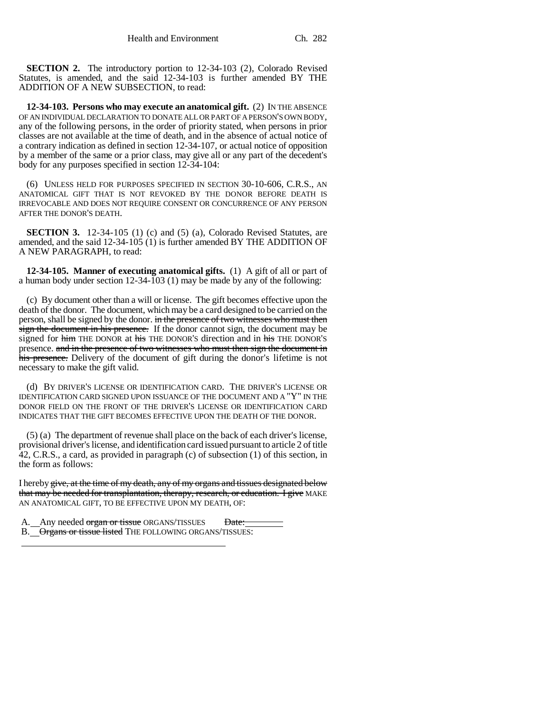**SECTION 2.** The introductory portion to 12-34-103 (2), Colorado Revised Statutes, is amended, and the said 12-34-103 is further amended BY THE ADDITION OF A NEW SUBSECTION, to read:

**12-34-103. Persons who may execute an anatomical gift.** (2) IN THE ABSENCE OF AN INDIVIDUAL DECLARATION TO DONATE ALL OR PART OF A PERSON'S OWN BODY, any of the following persons, in the order of priority stated, when persons in prior classes are not available at the time of death, and in the absence of actual notice of a contrary indication as defined in section 12-34-107, or actual notice of opposition by a member of the same or a prior class, may give all or any part of the decedent's body for any purposes specified in section 12-34-104:

(6) UNLESS HELD FOR PURPOSES SPECIFIED IN SECTION 30-10-606, C.R.S., AN ANATOMICAL GIFT THAT IS NOT REVOKED BY THE DONOR BEFORE DEATH IS IRREVOCABLE AND DOES NOT REQUIRE CONSENT OR CONCURRENCE OF ANY PERSON AFTER THE DONOR'S DEATH.

**SECTION 3.** 12-34-105 (1) (c) and (5) (a), Colorado Revised Statutes, are amended, and the said 12-34-105 (1) is further amended BY THE ADDITION OF A NEW PARAGRAPH, to read:

**12-34-105. Manner of executing anatomical gifts.** (1) A gift of all or part of a human body under section 12-34-103 (1) may be made by any of the following:

(c) By document other than a will or license. The gift becomes effective upon the death of the donor. The document, which may be a card designed to be carried on the person, shall be signed by the donor. in the presence of two witnesses who must then sign the document in his presence. If the donor cannot sign, the document may be signed for him THE DONOR at his THE DONOR'S direction and in his THE DONOR'S presence. and in the presence of two witnesses who must then sign the document in his presence. Delivery of the document of gift during the donor's lifetime is not necessary to make the gift valid.

(d) BY DRIVER'S LICENSE OR IDENTIFICATION CARD. THE DRIVER'S LICENSE OR IDENTIFICATION CARD SIGNED UPON ISSUANCE OF THE DOCUMENT AND A "Y" IN THE DONOR FIELD ON THE FRONT OF THE DRIVER'S LICENSE OR IDENTIFICATION CARD INDICATES THAT THE GIFT BECOMES EFFECTIVE UPON THE DEATH OF THE DONOR.

(5) (a) The department of revenue shall place on the back of each driver's license, provisional driver's license, and identification card issued pursuant to article 2 of title 42, C.R.S., a card, as provided in paragraph (c) of subsection (1) of this section, in the form as follows:

I hereby give, at the time of my death, any of my organs and tissues designated below that may be needed for transplantation, therapy, research, or education. I give MAKE AN ANATOMICAL GIFT, TO BE EFFECTIVE UPON MY DEATH, OF:

A. Any needed organ or tissue ORGANS/TISSUES Date: B. Organs or tissue listed THE FOLLOWING ORGANS/TISSUES: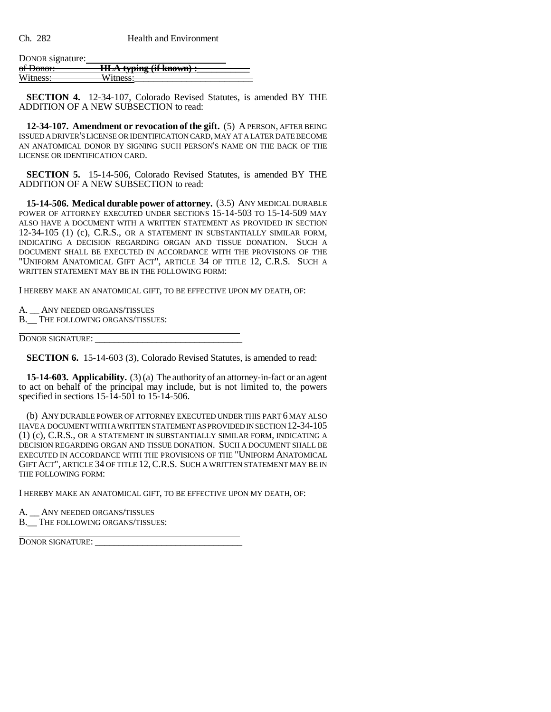DONOR signature:<br>of Donor: of Donor: **HLA typing (if known) :**<br>Witness: Witness: Witness:

**SECTION 4.** 12-34-107, Colorado Revised Statutes, is amended BY THE ADDITION OF A NEW SUBSECTION to read:

**12-34-107. Amendment or revocation of the gift.** (5) A PERSON, AFTER BEING ISSUED A DRIVER'S LICENSE OR IDENTIFICATION CARD, MAY AT A LATER DATE BECOME AN ANATOMICAL DONOR BY SIGNING SUCH PERSON'S NAME ON THE BACK OF THE LICENSE OR IDENTIFICATION CARD.

**SECTION 5.** 15-14-506, Colorado Revised Statutes, is amended BY THE ADDITION OF A NEW SUBSECTION to read:

**15-14-506. Medical durable power of attorney.** (3.5) ANY MEDICAL DURABLE POWER OF ATTORNEY EXECUTED UNDER SECTIONS 15-14-503 TO 15-14-509 MAY ALSO HAVE A DOCUMENT WITH A WRITTEN STATEMENT AS PROVIDED IN SECTION 12-34-105 (1) (c), C.R.S., OR A STATEMENT IN SUBSTANTIALLY SIMILAR FORM, INDICATING A DECISION REGARDING ORGAN AND TISSUE DONATION. SUCH A DOCUMENT SHALL BE EXECUTED IN ACCORDANCE WITH THE PROVISIONS OF THE "UNIFORM ANATOMICAL GIFT ACT", ARTICLE 34 OF TITLE 12, C.R.S. SUCH A WRITTEN STATEMENT MAY BE IN THE FOLLOWING FORM:

I HEREBY MAKE AN ANATOMICAL GIFT, TO BE EFFECTIVE UPON MY DEATH, OF:

A. \_\_ ANY NEEDED ORGANS/TISSUES

B. THE FOLLOWING ORGANS/TISSUES:

DONOR SIGNATURE: \_\_\_\_\_\_\_\_\_\_\_\_\_\_\_\_\_\_\_\_\_\_\_\_\_\_\_\_\_\_\_

 $\overline{a}$ 

**SECTION 6.** 15-14-603 (3), Colorado Revised Statutes, is amended to read:

**15-14-603. Applicability.** (3) (a) The authority of an attorney-in-fact or an agent to act on behalf of the principal may include, but is not limited to, the powers specified in sections 15-14-501 to 15-14-506.

(b) ANY DURABLE POWER OF ATTORNEY EXECUTED UNDER THIS PART 6 MAY ALSO HAVE A DOCUMENT WITH A WRITTEN STATEMENT AS PROVIDED IN SECTION 12-34-105 (1) (c), C.R.S., OR A STATEMENT IN SUBSTANTIALLY SIMILAR FORM, INDICATING A DECISION REGARDING ORGAN AND TISSUE DONATION. SUCH A DOCUMENT SHALL BE EXECUTED IN ACCORDANCE WITH THE PROVISIONS OF THE "UNIFORM ANATOMICAL GIFT ACT", ARTICLE 34 OF TITLE 12,C.R.S. SUCH A WRITTEN STATEMENT MAY BE IN THE FOLLOWING FORM:

I HEREBY MAKE AN ANATOMICAL GIFT, TO BE EFFECTIVE UPON MY DEATH, OF:

A. ANY NEEDED ORGANS/TISSUES

B. THE FOLLOWING ORGANS/TISSUES:

DONOR SIGNATURE: \_\_\_\_\_\_\_\_\_\_\_\_\_\_\_\_\_\_\_\_\_\_\_\_\_\_\_\_\_\_\_

 $\overline{a}$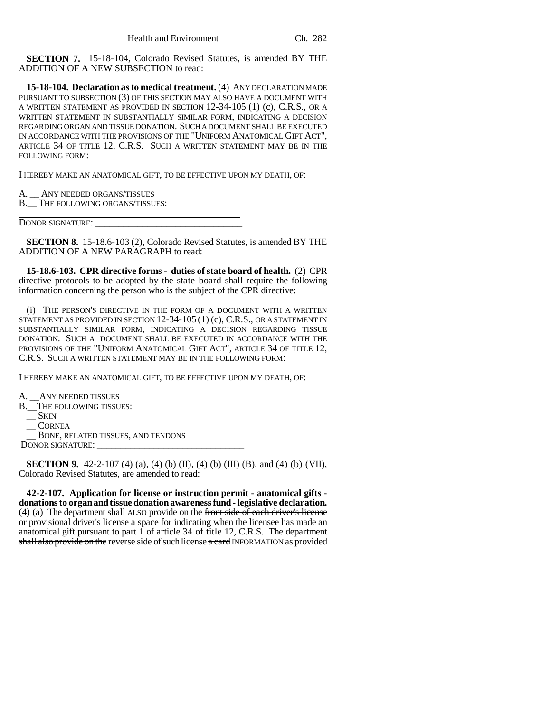**SECTION 7.** 15-18-104, Colorado Revised Statutes, is amended BY THE ADDITION OF A NEW SUBSECTION to read:

**15-18-104. Declaration as to medical treatment.** (4) ANY DECLARATION MADE PURSUANT TO SUBSECTION (3) OF THIS SECTION MAY ALSO HAVE A DOCUMENT WITH A WRITTEN STATEMENT AS PROVIDED IN SECTION 12-34-105 (1) (c), C.R.S., OR A WRITTEN STATEMENT IN SUBSTANTIALLY SIMILAR FORM, INDICATING A DECISION REGARDING ORGAN AND TISSUE DONATION. SUCH A DOCUMENT SHALL BE EXECUTED IN ACCORDANCE WITH THE PROVISIONS OF THE "UNIFORM ANATOMICAL GIFT ACT", ARTICLE 34 OF TITLE 12, C.R.S. SUCH A WRITTEN STATEMENT MAY BE IN THE FOLLOWING FORM:

I HEREBY MAKE AN ANATOMICAL GIFT, TO BE EFFECTIVE UPON MY DEATH, OF:

ANY NEEDED ORGANS/TISSUES

B.\_\_ THE FOLLOWING ORGANS/TISSUES:

DONOR SIGNATURE:

 $\overline{a}$ 

**SECTION 8.** 15-18.6-103 (2), Colorado Revised Statutes, is amended BY THE ADDITION OF A NEW PARAGRAPH to read:

**15-18.6-103. CPR directive forms - duties of state board of health.** (2) CPR directive protocols to be adopted by the state board shall require the following information concerning the person who is the subject of the CPR directive:

(i) THE PERSON'S DIRECTIVE IN THE FORM OF A DOCUMENT WITH A WRITTEN STATEMENT AS PROVIDED IN SECTION 12-34-105 (1) (c), C.R.S., OR A STATEMENT IN SUBSTANTIALLY SIMILAR FORM, INDICATING A DECISION REGARDING TISSUE DONATION. SUCH A DOCUMENT SHALL BE EXECUTED IN ACCORDANCE WITH THE PROVISIONS OF THE "UNIFORM ANATOMICAL GIFT ACT", ARTICLE 34 OF TITLE 12, C.R.S. SUCH A WRITTEN STATEMENT MAY BE IN THE FOLLOWING FORM:

I HEREBY MAKE AN ANATOMICAL GIFT, TO BE EFFECTIVE UPON MY DEATH, OF:

A. \_\_ANY NEEDED TISSUES B. THE FOLLOWING TISSUES: \_\_ SKIN \_\_ CORNEA \_\_ BONE, RELATED TISSUES, AND TENDONS DONOR SIGNATURE:

**SECTION 9.** 42-2-107 (4) (a), (4) (b) (II), (4) (b) (III) (B), and (4) (b) (VII), Colorado Revised Statutes, are amended to read:

**42-2-107. Application for license or instruction permit - anatomical gifts donations to organ and tissue donation awareness fund - legislative declaration.** (4) (a) The department shall ALSO provide on the front side of each driver's license or provisional driver's license a space for indicating when the licensee has made an anatomical gift pursuant to part 1 of article 34 of title 12, C.R.S. The department shall also provide on the reverse side of such license a card INFORMATION as provided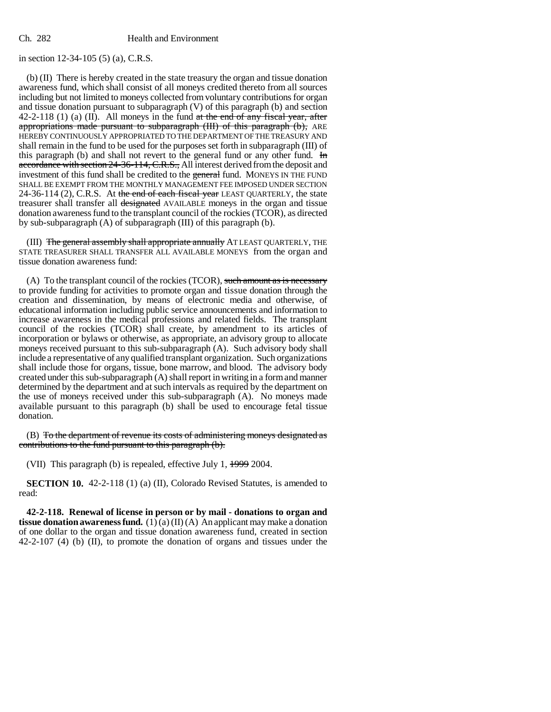in section 12-34-105 (5) (a), C.R.S.

(b) (II) There is hereby created in the state treasury the organ and tissue donation awareness fund, which shall consist of all moneys credited thereto from all sources including but not limited to moneys collected from voluntary contributions for organ and tissue donation pursuant to subparagraph (V) of this paragraph (b) and section 42-2-118 (1) (a) (II). All moneys in the fund  $at$  the end of any fiscal year, after appropriations made pursuant to subparagraph (III) of this paragraph (b), ARE HEREBY CONTINUOUSLY APPROPRIATED TO THE DEPARTMENT OF THE TREASURY AND shall remain in the fund to be used for the purposes set forth in subparagraph (III) of this paragraph (b) and shall not revert to the general fund or any other fund. In accordance with section 24-36-114, C.R.S., All interest derived from the deposit and investment of this fund shall be credited to the general fund. MONEYS IN THE FUND SHALL BE EXEMPT FROM THE MONTHLY MANAGEMENT FEE IMPOSED UNDER SECTION 24-36-114 (2), C.R.S. At the end of each fiscal year LEAST QUARTERLY, the state treasurer shall transfer all designated AVAILABLE moneys in the organ and tissue donation awareness fund to the transplant council of the rockies (TCOR), as directed by sub-subparagraph (A) of subparagraph (III) of this paragraph (b).

(III) The general assembly shall appropriate annually AT LEAST QUARTERLY, THE STATE TREASURER SHALL TRANSFER ALL AVAILABLE MONEYS from the organ and tissue donation awareness fund:

(A) To the transplant council of the rockies (TCOR), such amount as is necessary to provide funding for activities to promote organ and tissue donation through the creation and dissemination, by means of electronic media and otherwise, of educational information including public service announcements and information to increase awareness in the medical professions and related fields. The transplant council of the rockies (TCOR) shall create, by amendment to its articles of incorporation or bylaws or otherwise, as appropriate, an advisory group to allocate moneys received pursuant to this sub-subparagraph (A). Such advisory body shall include a representative of any qualified transplant organization. Such organizations shall include those for organs, tissue, bone marrow, and blood. The advisory body created under this sub-subparagraph (A) shall report in writing in a form and manner determined by the department and at such intervals as required by the department on the use of moneys received under this sub-subparagraph (A). No moneys made available pursuant to this paragraph (b) shall be used to encourage fetal tissue donation.

(B) To the department of revenue its costs of administering moneys designated as contributions to the fund pursuant to this paragraph (b).

(VII) This paragraph (b) is repealed, effective July 1, 1999 2004.

**SECTION 10.** 42-2-118 (1) (a) (II), Colorado Revised Statutes, is amended to read:

**42-2-118. Renewal of license in person or by mail - donations to organ and tissue donation awareness fund.** (1) (a) (II) (A) An applicant may make a donation of one dollar to the organ and tissue donation awareness fund, created in section 42-2-107 (4) (b) (II), to promote the donation of organs and tissues under the